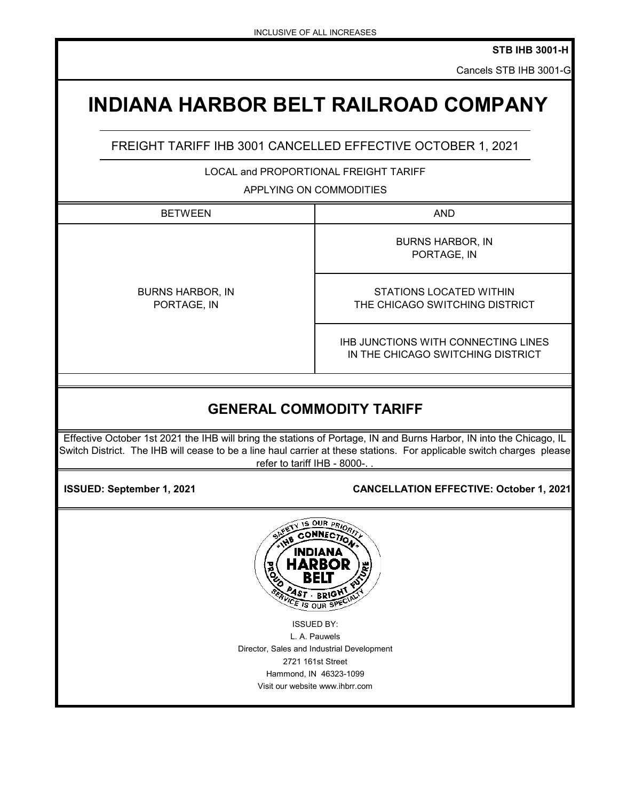**STB IHB 3001-H**

Cancels STB IHB 3001-G

## **INDIANA HARBOR BELT RAILROAD COMPANY**

FREIGHT TARIFF IHB 3001 CANCELLED EFFECTIVE OCTOBER 1, 2021

LOCAL and PROPORTIONAL FREIGHT TARIFF

APPLYING ON COMMODITIES

| <b>BETWEEN</b>                         | <b>AND</b>                                                               |  |
|----------------------------------------|--------------------------------------------------------------------------|--|
|                                        | <b>BURNS HARBOR, IN</b><br>PORTAGE, IN                                   |  |
| <b>BURNS HARBOR, IN</b><br>PORTAGE, IN | STATIONS LOCATED WITHIN<br>THE CHICAGO SWITCHING DISTRICT                |  |
|                                        | THE JUNCTIONS WITH CONNECTING LINES<br>IN THE CHICAGO SWITCHING DISTRICT |  |
|                                        |                                                                          |  |
| <b>GENERAL COMMODITY TARIFF</b>        |                                                                          |  |

Effective October 1st 2021 the IHB will bring the stations of Portage, IN and Burns Harbor, IN into the Chicago, IL Switch District. The IHB will cease to be a line haul carrier at these stations. For applicable switch charges please refer to tariff IHB - 8000-. .

 **ISSUED: September 1, 2021**

## **CANCELLATION EFFECTIVE: October 1, 2021**



ISSUED BY: L. A. Pauwels Director, Sales and Industrial Development 2721 161st Street Hammond, IN 46323-1099 Visit our website www.ihbrr.com